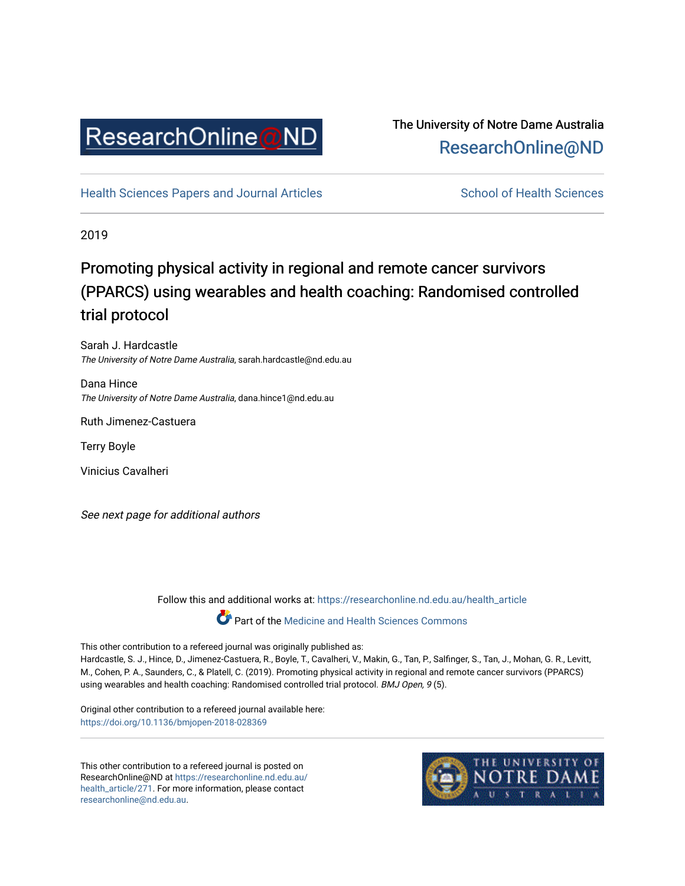

# The University of Notre Dame Australia [ResearchOnline@ND](https://researchonline.nd.edu.au/)

[Health Sciences Papers and Journal Articles](https://researchonline.nd.edu.au/health_article) School of Health Sciences

2019

# Promoting physical activity in regional and remote cancer survivors (PPARCS) using wearables and health coaching: Randomised controlled trial protocol

Sarah J. Hardcastle The University of Notre Dame Australia, sarah.hardcastle@nd.edu.au

Dana Hince The University of Notre Dame Australia, dana.hince1@nd.edu.au

Ruth Jimenez-Castuera

Terry Boyle

Vinicius Cavalheri

See next page for additional authors

Follow this and additional works at: [https://researchonline.nd.edu.au/health\\_article](https://researchonline.nd.edu.au/health_article?utm_source=researchonline.nd.edu.au%2Fhealth_article%2F271&utm_medium=PDF&utm_campaign=PDFCoverPages)

Part of the [Medicine and Health Sciences Commons](http://network.bepress.com/hgg/discipline/648?utm_source=researchonline.nd.edu.au%2Fhealth_article%2F271&utm_medium=PDF&utm_campaign=PDFCoverPages)

This other contribution to a refereed journal was originally published as: Hardcastle, S. J., Hince, D., Jimenez-Castuera, R., Boyle, T., Cavalheri, V., Makin, G., Tan, P., Salfinger, S., Tan, J., Mohan, G. R., Levitt, M., Cohen, P. A., Saunders, C., & Platell, C. (2019). Promoting physical activity in regional and remote cancer survivors (PPARCS) using wearables and health coaching: Randomised controlled trial protocol. BMJ Open, 9 (5).

Original other contribution to a refereed journal available here: <https://doi.org/10.1136/bmjopen-2018-028369>

This other contribution to a refereed journal is posted on ResearchOnline@ND at [https://researchonline.nd.edu.au/](https://researchonline.nd.edu.au/health_article/271) [health\\_article/271.](https://researchonline.nd.edu.au/health_article/271) For more information, please contact [researchonline@nd.edu.au.](mailto:researchonline@nd.edu.au)

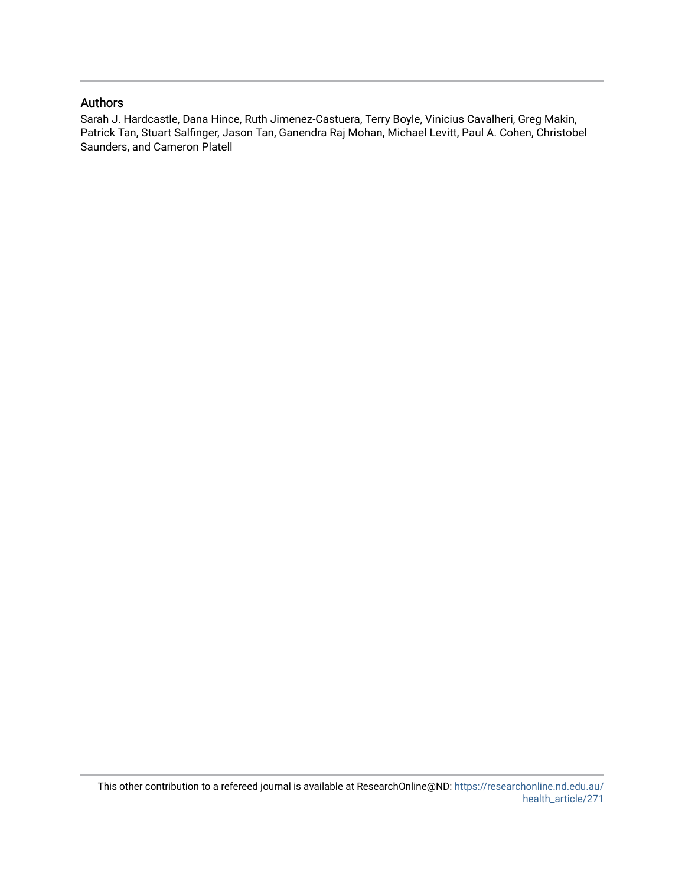# Authors

Sarah J. Hardcastle, Dana Hince, Ruth Jimenez-Castuera, Terry Boyle, Vinicius Cavalheri, Greg Makin, Patrick Tan, Stuart Salfinger, Jason Tan, Ganendra Raj Mohan, Michael Levitt, Paul A. Cohen, Christobel Saunders, and Cameron Platell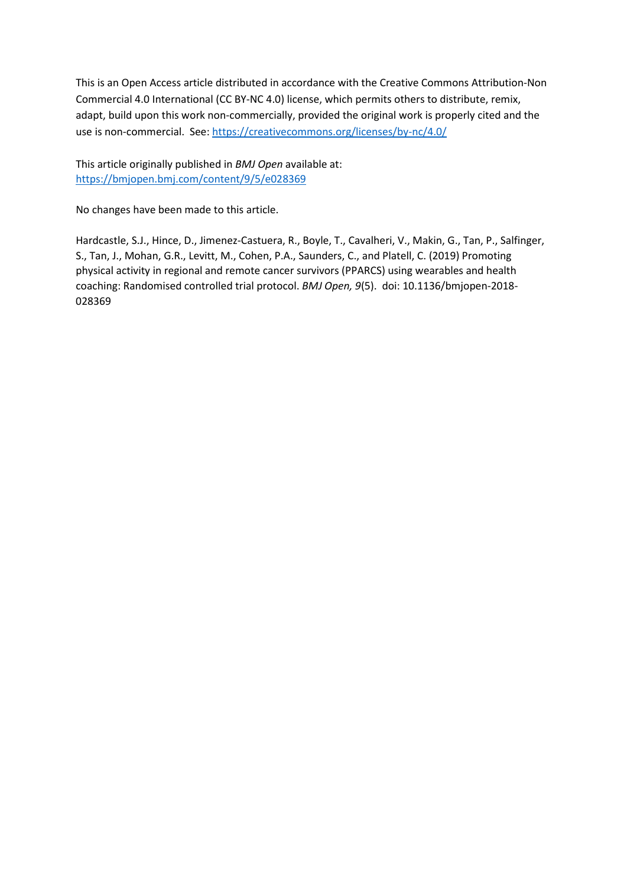This is an Open Access article distributed in accordance with the Creative Commons Attribution-Non Commercial 4.0 International (CC BY-NC 4.0) license, which permits others to distribute, remix, adapt, build upon this work non-commercially, provided the original work is properly cited and the use is non-commercial. See[: https://creativecommons.org/licenses/by-nc/4.0/](https://creativecommons.org/licenses/by-nc/4.0/)

This article originally published in *BMJ Open* available at: <https://bmjopen.bmj.com/content/9/5/e028369>

No changes have been made to this article.

Hardcastle, S.J., Hince, D., Jimenez-Castuera, R., Boyle, T., Cavalheri, V., Makin, G., Tan, P., Salfinger, S., Tan, J., Mohan, G.R., Levitt, M., Cohen, P.A., Saunders, C., and Platell, C. (2019) Promoting physical activity in regional and remote cancer survivors (PPARCS) using wearables and health coaching: Randomised controlled trial protocol. *BMJ Open, 9*(5). doi: 10.1136/bmjopen-2018- 028369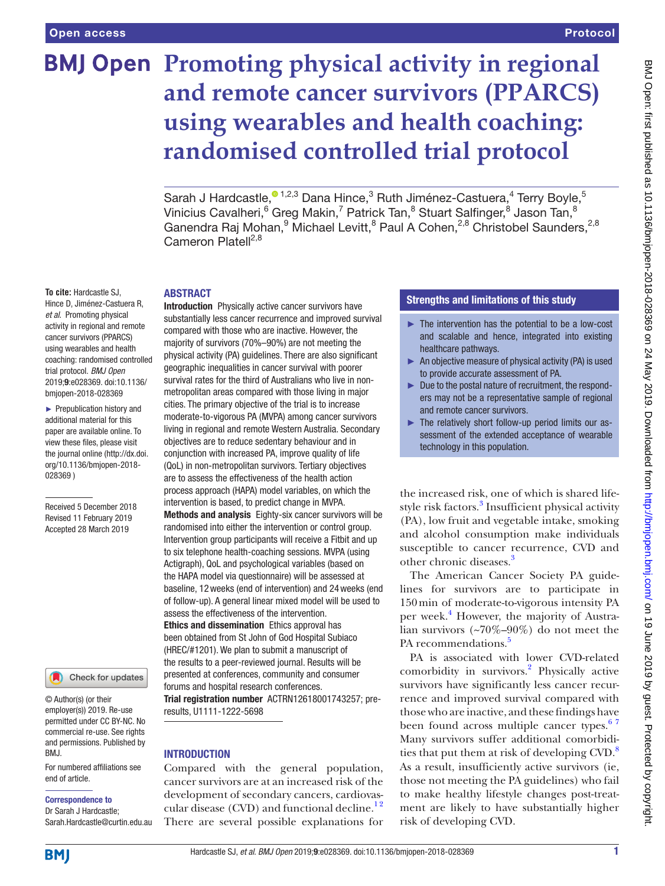# **BMJ Open Promoting physical activity in regional and remote cancer survivors (PPARCS) using wearables and health coaching: randomised controlled trial protocol**

Sarah J Hardcastle[,](http://orcid.org/0000-0001-8378-3781)<sup>® 1,2,3</sup> Dana Hince,<sup>3</sup> Ruth Jiménez-Castuera,<sup>4</sup> Terry Boyle,<sup>5</sup> Vinicius Cavalheri, $^6$  Greg Makin, $^7$  Patrick Tan, $^8$  Stuart Salfinger, $^8$  Jason Tan, $^8$ Ganendra Raj Mohan,<sup>9</sup> Michael Levitt,<sup>8</sup> Paul A Cohen,<sup>2,8</sup> Christobel Saunders,<sup>2,8</sup> Cameron Platell<sup>2,8</sup>

#### **ABSTRACT**

Hince D, Jiménez-Castuera R, *et al*. Promoting physical activity in regional and remote cancer survivors (PPARCS) using wearables and health coaching: randomised controlled trial protocol. *BMJ Open* 2019;9:e028369. doi:10.1136/ bmjopen-2018-028369

**To cite:** Hardcastle SJ,

► Prepublication history and additional material for this paper are available online. To view these files, please visit the journal online (http://dx.doi. org/10.1136/bmjopen-2018- 028369 )

Received 5 December 2018 Revised 11 February 2019 Accepted 28 March 2019



© Author(s) (or their employer(s)) 2019. Re-use permitted under CC BY-NC. No commercial re-use. See rights and permissions. Published by BMJ.

For numbered affiliations see end of article.

#### Correspondence to

Dr Sarah J Hardcastle; Sarah.Hardcastle@curtin.edu.au

Introduction Physically active cancer survivors have substantially less cancer recurrence and improved survival compared with those who are inactive. However, the majority of survivors (70%–90%) are not meeting the physical activity (PA) guidelines. There are also significant geographic inequalities in cancer survival with poorer survival rates for the third of Australians who live in nonmetropolitan areas compared with those living in major cities. The primary objective of the trial is to increase moderate-to-vigorous PA (MVPA) among cancer survivors living in regional and remote Western Australia. Secondary objectives are to reduce sedentary behaviour and in conjunction with increased PA, improve quality of life (QoL) in non-metropolitan survivors. Tertiary objectives are to assess the effectiveness of the health action process approach (HAPA) model variables, on which the intervention is based, to predict change in MVPA. Methods and analysis Eighty-six cancer survivors will be randomised into either the intervention or control group. Intervention group participants will receive a Fitbit and up to six telephone health-coaching sessions. MVPA (using Actigraph), QoL and psychological variables (based on the HAPA model via questionnaire) will be assessed at baseline, 12weeks (end of intervention) and 24weeks (end of follow-up). A general linear mixed model will be used to assess the effectiveness of the intervention. Ethics and dissemination Ethics approval has been obtained from St John of God Hospital Subiaco (HREC/#1201). We plan to submit a manuscript of the results to a peer-reviewed journal. Results will be presented at conferences, community and consumer forums and hospital research conferences. Trial registration number ACTRN12618001743257; preresults, U1111-1222-5698

# **INTRODUCTION**

Compared with the general population, cancer survivors are at an increased risk of the development of secondary cancers, cardiovascular disease (CVD) and functional decline.<sup>12</sup> There are several possible explanations for

# Strengths and limitations of this study

- ► The intervention has the potential to be a low-cost and scalable and hence, integrated into existing healthcare pathways.
- ► An objective measure of physical activity (PA) is used to provide accurate assessment of PA.
- ► Due to the postal nature of recruitment, the responders may not be a representative sample of regional and remote cancer survivors.
- ► The relatively short follow-up period limits our assessment of the extended acceptance of wearable technology in this population.

the increased risk, one of which is shared lifestyle risk factors.<sup>3</sup> Insufficient physical activity (PA), low fruit and vegetable intake, smoking and alcohol consumption make individuals susceptible to cancer recurrence, CVD and other chronic diseases.<sup>[3](#page-9-1)</sup>

The American Cancer Society PA guidelines for survivors are to participate in 150min of moderate-to-vigorous intensity PA per week.<sup>[4](#page-9-2)</sup> However, the majority of Australian survivors (~70%–90%) do not meet the PA recommendations.<sup>[5](#page-9-3)</sup>

PA is associated with lower CVD-related comorbidity in survivors.<sup>[2](#page-9-4)</sup> Physically active survivors have significantly less cancer recurrence and improved survival compared with those who are inactive, and these findings have been found across multiple cancer types.<sup>67</sup> Many survivors suffer additional comorbidities that put them at risk of developing  $CVD$ .<sup>[8](#page-9-6)</sup> As a result, insufficiently active survivors (ie, those not meeting the PA guidelines) who fail to make healthy lifestyle changes post-treatment are likely to have substantially higher risk of developing CVD.

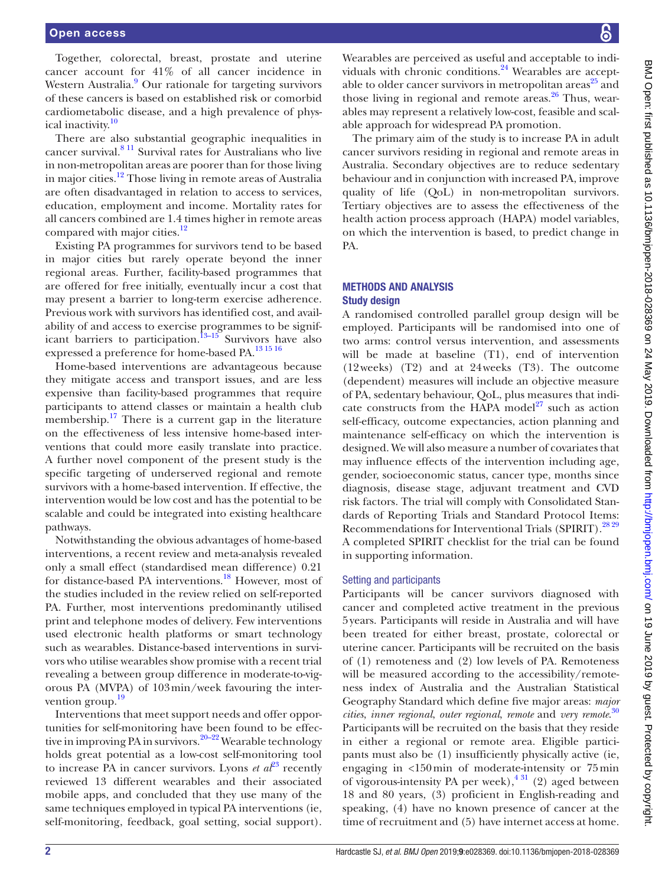Together, colorectal, breast, prostate and uterine cancer account for 41% of all cancer incidence in Western Australia.<sup>9</sup> Our rationale for targeting survivors of these cancers is based on established risk or comorbid cardiometabolic disease, and a high prevalence of phys-ical inactivity.<sup>[10](#page-9-8)</sup>

There are also substantial geographic inequalities in cancer survival.[8 11](#page-9-6) Survival rates for Australians who live in non-metropolitan areas are poorer than for those living in major cities.<sup>[12](#page-9-9)</sup> Those living in remote areas of Australia are often disadvantaged in relation to access to services, education, employment and income. Mortality rates for all cancers combined are 1.4 times higher in remote areas compared with major cities.<sup>[12](#page-9-9)</sup>

Existing PA programmes for survivors tend to be based in major cities but rarely operate beyond the inner regional areas. Further, facility-based programmes that are offered for free initially, eventually incur a cost that may present a barrier to long-term exercise adherence. Previous work with survivors has identified cost, and availability of and access to exercise programmes to be significant barriers to participation.<sup>13–15</sup> Survivors have also expressed a preference for home-based PA.[13 15 16](#page-9-10)

Home-based interventions are advantageous because they mitigate access and transport issues, and are less expensive than facility-based programmes that require participants to attend classes or maintain a health club membership. $17$  There is a current gap in the literature on the effectiveness of less intensive home-based interventions that could more easily translate into practice. A further novel component of the present study is the specific targeting of underserved regional and remote survivors with a home-based intervention. If effective, the intervention would be low cost and has the potential to be scalable and could be integrated into existing healthcare pathways.

Notwithstanding the obvious advantages of home-based interventions, a recent review and meta-analysis revealed only a small effect (standardised mean difference) 0.21 for distance-based PA interventions.<sup>18</sup> However, most of the studies included in the review relied on self-reported PA. Further, most interventions predominantly utilised print and telephone modes of delivery. Few interventions used electronic health platforms or smart technology such as wearables. Distance-based interventions in survivors who utilise wearables show promise with a recent trial revealing a between group difference in moderate-to-vigorous PA (MVPA) of 103min/week favouring the inter-vention group.<sup>[19](#page-10-1)</sup>

Interventions that meet support needs and offer opportunities for self-monitoring have been found to be effec-tive in improving PA in survivors.<sup>[20–22](#page-10-2)</sup> Wearable technology holds great potential as a low-cost self-monitoring tool to increase PA in cancer survivors. Lyons  $et\ a<sup>23</sup>$  $et\ a<sup>23</sup>$  $et\ a<sup>23</sup>$  recently reviewed 13 different wearables and their associated mobile apps, and concluded that they use many of the same techniques employed in typical PA interventions (ie, self-monitoring, feedback, goal setting, social support).

Wearables are perceived as useful and acceptable to individuals with chronic conditions. $24$  Wearables are acceptable to older cancer survivors in metropolitan areas $^{25}$  and those living in regional and remote areas. $26$  Thus, wearables may represent a relatively low-cost, feasible and scalable approach for widespread PA promotion.

The primary aim of the study is to increase PA in adult cancer survivors residing in regional and remote areas in Australia. Secondary objectives are to reduce sedentary behaviour and in conjunction with increased PA, improve quality of life (QoL) in non-metropolitan survivors. Tertiary objectives are to assess the effectiveness of the health action process approach (HAPA) model variables, on which the intervention is based, to predict change in PA.

# Methods and analysis Study design

A randomised controlled parallel group design will be employed. Participants will be randomised into one of two arms: control versus intervention, and assessments will be made at baseline (T1), end of intervention (12weeks) (T2) and at 24weeks (T3). The outcome (dependent) measures will include an objective measure of PA, sedentary behaviour, QoL, plus measures that indicate constructs from the HAPA model $^{27}$  such as action self-efficacy, outcome expectancies, action planning and maintenance self-efficacy on which the intervention is designed. We will also measure a number of covariates that may influence effects of the intervention including age, gender, socioeconomic status, cancer type, months since diagnosis, disease stage, adjuvant treatment and CVD risk factors. The trial will comply with Consolidated Standards of Reporting Trials and Standard Protocol Items: Recommendations for Interventional Trials (SPIRIT).<sup>[28 29](#page-10-8)</sup> A completed SPIRIT checklist for the trial can be found in supporting information.

# Setting and participants

Participants will be cancer survivors diagnosed with cancer and completed active treatment in the previous 5years. Participants will reside in Australia and will have been treated for either breast, prostate, colorectal or uterine cancer. Participants will be recruited on the basis of (1) remoteness and (2) low levels of PA. Remoteness will be measured according to the accessibility/remoteness index of Australia and the Australian Statistical Geography Standard which define five major areas: *major cities*, *inner regional*, *outer regional*, *remote* and *very remote*. [30](#page-10-9) Participants will be recruited on the basis that they reside in either a regional or remote area. Eligible participants must also be (1) insufficiently physically active (ie, engaging in <150min of moderate-intensity or 75min of vigorous-intensity PA per week),  $4 \frac{31}{2}$  (2) aged between 18 and 80 years, (3) proficient in English-reading and speaking, (4) have no known presence of cancer at the time of recruitment and (5) have internet access at home.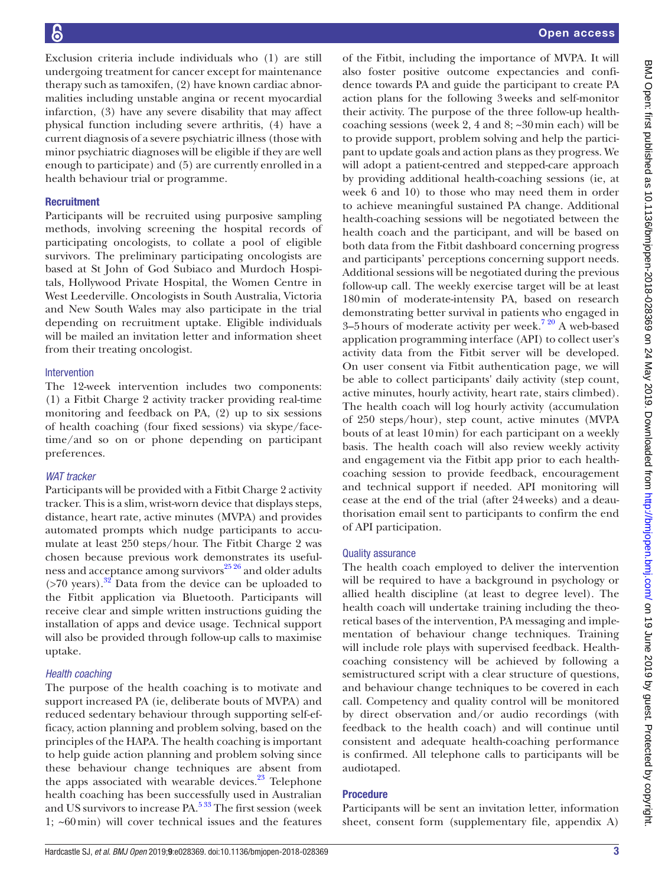Exclusion criteria include individuals who (1) are still undergoing treatment for cancer except for maintenance therapy such as tamoxifen, (2) have known cardiac abnormalities including unstable angina or recent myocardial infarction, (3) have any severe disability that may affect physical function including severe arthritis, (4) have a current diagnosis of a severe psychiatric illness (those with minor psychiatric diagnoses will be eligible if they are well enough to participate) and (5) are currently enrolled in a health behaviour trial or programme.

# **Recruitment**

Participants will be recruited using purposive sampling methods, involving screening the hospital records of participating oncologists, to collate a pool of eligible survivors. The preliminary participating oncologists are based at St John of God Subiaco and Murdoch Hospitals, Hollywood Private Hospital, the Women Centre in West Leederville. Oncologists in South Australia, Victoria and New South Wales may also participate in the trial depending on recruitment uptake. Eligible individuals will be mailed an invitation letter and information sheet from their treating oncologist.

#### Intervention

The 12-week intervention includes two components: (1) a Fitbit Charge 2 activity tracker providing real-time monitoring and feedback on PA, (2) up to six sessions of health coaching (four fixed sessions) via skype/facetime/and so on or phone depending on participant preferences.

#### *WAT tracker*

Participants will be provided with a Fitbit Charge 2 activity tracker. This is a slim, wrist-worn device that displays steps, distance, heart rate, active minutes (MVPA) and provides automated prompts which nudge participants to accumulate at least 250 steps/hour. The Fitbit Charge 2 was chosen because previous work demonstrates its usefulness and acceptance among survivors<sup>25 26</sup> and older adults  $($ >70 years).<sup>32</sup> Data from the device can be uploaded to the Fitbit application via Bluetooth. Participants will receive clear and simple written instructions guiding the installation of apps and device usage. Technical support will also be provided through follow-up calls to maximise uptake.

#### *Health coaching*

The purpose of the health coaching is to motivate and support increased PA (ie, deliberate bouts of MVPA) and reduced sedentary behaviour through supporting self-efficacy, action planning and problem solving, based on the principles of the HAPA. The health coaching is important to help guide action planning and problem solving since these behaviour change techniques are absent from the apps associated with wearable devices. $2<sup>3</sup>$  Telephone health coaching has been successfully used in Australian and US survivors to increase PA.[5 33](#page-9-3) The first session (week 1; ~60min) will cover technical issues and the features

of the Fitbit, including the importance of MVPA. It will also foster positive outcome expectancies and confidence towards PA and guide the participant to create PA action plans for the following 3weeks and self-monitor their activity. The purpose of the three follow-up healthcoaching sessions (week 2, 4 and 8; ~30min each) will be to provide support, problem solving and help the participant to update goals and action plans as they progress. We will adopt a patient-centred and stepped-care approach by providing additional health-coaching sessions (ie, at week 6 and 10) to those who may need them in order to achieve meaningful sustained PA change. Additional health-coaching sessions will be negotiated between the health coach and the participant, and will be based on both data from the Fitbit dashboard concerning progress and participants' perceptions concerning support needs. Additional sessions will be negotiated during the previous follow-up call. The weekly exercise target will be at least 180min of moderate-intensity PA, based on research demonstrating better survival in patients who engaged in 3–5 hours of moderate activity per week.<sup>720</sup> A web-based application programming interface (API) to collect user's activity data from the Fitbit server will be developed. On user consent via Fitbit authentication page, we will be able to collect participants' daily activity (step count, active minutes, hourly activity, heart rate, stairs climbed). The health coach will log hourly activity (accumulation of 250 steps/hour), step count, active minutes (MVPA bouts of at least 10min) for each participant on a weekly basis. The health coach will also review weekly activity and engagement via the Fitbit app prior to each healthcoaching session to provide feedback, encouragement and technical support if needed. API monitoring will cease at the end of the trial (after 24weeks) and a deauthorisation email sent to participants to confirm the end of API participation.

#### Quality assurance

The health coach employed to deliver the intervention will be required to have a background in psychology or allied health discipline (at least to degree level). The health coach will undertake training including the theoretical bases of the intervention, PA messaging and implementation of behaviour change techniques. Training will include role plays with supervised feedback. Healthcoaching consistency will be achieved by following a semistructured script with a clear structure of questions, and behaviour change techniques to be covered in each call. Competency and quality control will be monitored by direct observation and/or audio recordings (with feedback to the health coach) and will continue until consistent and adequate health-coaching performance is confirmed. All telephone calls to participants will be audiotaped.

#### Procedure

Participants will be sent an invitation letter, information sheet, consent form ([supplementary file, appendix A](https://dx.doi.org/10.1136/bmjopen-2018-028369))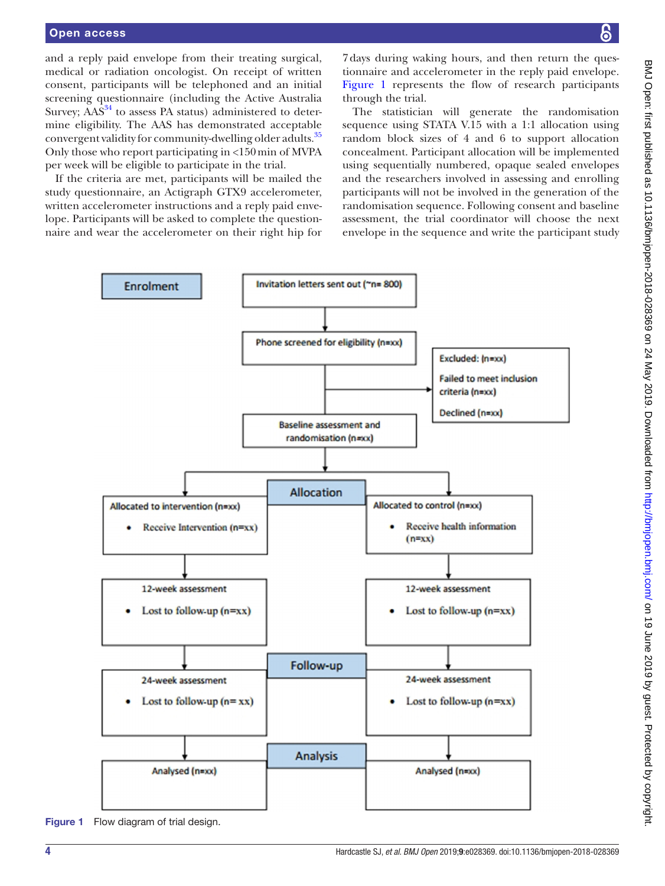and a reply paid envelope from their treating surgical, medical or radiation oncologist. On receipt of written consent, participants will be telephoned and an initial screening questionnaire (including the Active Australia Survey;  $\widehat{AAS}^{34}$  to assess PA status) administered to determine eligibility. The AAS has demonstrated acceptable convergent validity for community-dwelling older adults.<sup>35</sup> Only those who report participating in <150min of MVPA per week will be eligible to participate in the trial.

If the criteria are met, participants will be mailed the study questionnaire, an Actigraph GTX9 accelerometer, written accelerometer instructions and a reply paid envelope. Participants will be asked to complete the questionnaire and wear the accelerometer on their right hip for

7days during waking hours, and then return the questionnaire and accelerometer in the reply paid envelope. [Figure](#page-6-0) 1 represents the flow of research participants through the trial.

The statistician will generate the randomisation sequence using STATA V.15 with a 1:1 allocation using random block sizes of 4 and 6 to support allocation concealment. Participant allocation will be implemented using sequentially numbered, opaque sealed envelopes and the researchers involved in assessing and enrolling participants will not be involved in the generation of the randomisation sequence. Following consent and baseline assessment, the trial coordinator will choose the next envelope in the sequence and write the participant study



<span id="page-6-0"></span>Figure 1 Flow diagram of trial design.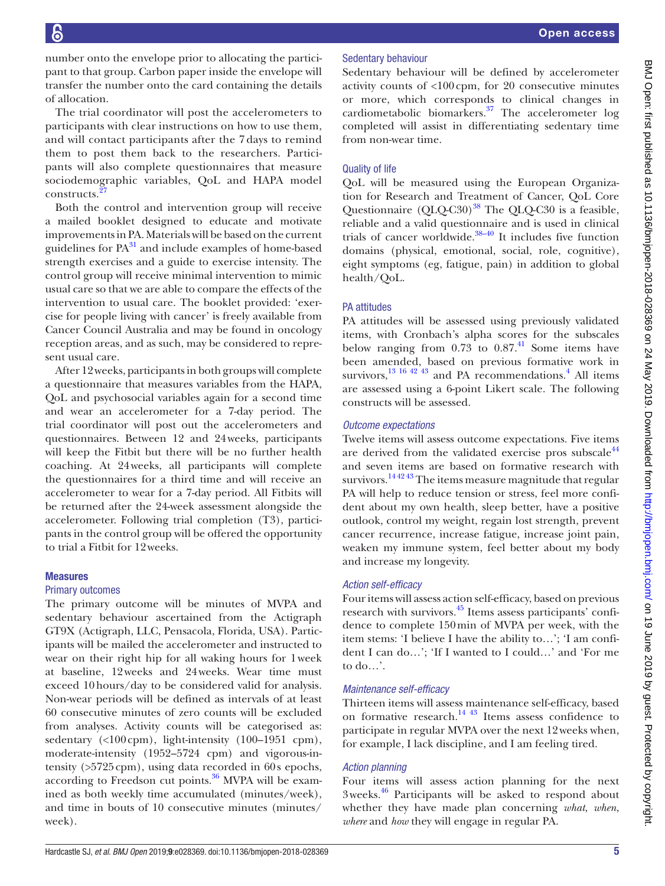number onto the envelope prior to allocating the participant to that group. Carbon paper inside the envelope will transfer the number onto the card containing the details of allocation.

The trial coordinator will post the accelerometers to participants with clear instructions on how to use them, and will contact participants after the 7 days to remind them to post them back to the researchers. Participants will also complete questionnaires that measure sociodemographic variables, QoL and HAPA model constructs.

Both the control and intervention group will receive a mailed booklet designed to educate and motivate improvements in PA. Materials will be based on the current guidelines for  $PA^{31}$  and include examples of home-based strength exercises and a guide to exercise intensity. The control group will receive minimal intervention to mimic usual care so that we are able to compare the effects of the intervention to usual care. The booklet provided: 'exercise for people living with cancer' is freely available from Cancer Council Australia and may be found in oncology reception areas, and as such, may be considered to represent usual care.

After 12weeks, participants in both groups will complete a questionnaire that measures variables from the HAPA, QoL and psychosocial variables again for a second time and wear an accelerometer for a 7-day period. The trial coordinator will post out the accelerometers and questionnaires. Between 12 and 24weeks, participants will keep the Fitbit but there will be no further health coaching. At 24weeks, all participants will complete the questionnaires for a third time and will receive an accelerometer to wear for a 7-day period. All Fitbits will be returned after the 24-week assessment alongside the accelerometer. Following trial completion (T3), participants in the control group will be offered the opportunity to trial a Fitbit for 12weeks.

#### Measures

#### Primary outcomes

The primary outcome will be minutes of MVPA and sedentary behaviour ascertained from the Actigraph GT9X (Actigraph, LLC, Pensacola, Florida, USA). Participants will be mailed the accelerometer and instructed to wear on their right hip for all waking hours for 1week at baseline, 12weeks and 24weeks. Wear time must exceed 10hours/day to be considered valid for analysis. Non-wear periods will be defined as intervals of at least 60 consecutive minutes of zero counts will be excluded from analyses. Activity counts will be categorised as: sedentary (<100 cpm), light-intensity (100-1951 cpm), moderate-intensity (1952–5724 cpm) and vigorous-intensity (>5725cpm), using data recorded in 60s epochs, according to Freedson cut points.<sup>36</sup> MVPA will be examined as both weekly time accumulated (minutes/week), and time in bouts of 10 consecutive minutes (minutes/ week).

# Sedentary behaviour

Sedentary behaviour will be defined by accelerometer activity counts of <100cpm, for 20 consecutive minutes or more, which corresponds to clinical changes in cardiometabolic biomarkers.[37](#page-10-15) The accelerometer log completed will assist in differentiating sedentary time from non-wear time.

# Quality of life

QoL will be measured using the European Organization for Research and Treatment of Cancer, QoL Core Questionnaire  $(QLQ-C30)^{38}$  The QLQ-C30 is a feasible, reliable and a valid questionnaire and is used in clinical trials of cancer worldwide. $38-40$  It includes five function domains (physical, emotional, social, role, cognitive), eight symptoms (eg, fatigue, pain) in addition to global health/QoL.

# PA attitudes

PA attitudes will be assessed using previously validated items, with Cronbach's alpha scores for the subscales below ranging from  $0.73$  to  $0.87<sup>41</sup>$  Some items have been amended, based on previous formative work in survivors,  $^{13}$  16 <sup>42</sup> <sup>43</sup> and PA recommendations.<sup>4</sup> All items are assessed using a 6-point Likert scale. The following constructs will be assessed.

# *Outcome expectations*

Twelve items will assess outcome expectations. Five items are derived from the validated exercise pros subscale $44$ and seven items are based on formative research with survivors.<sup>1442 43</sup> The items measure magnitude that regular PA will help to reduce tension or stress, feel more confident about my own health, sleep better, have a positive outlook, control my weight, regain lost strength, prevent cancer recurrence, increase fatigue, increase joint pain, weaken my immune system, feel better about my body and increase my longevity.

# *Action self-efficacy*

Four items will assess action self-efficacy, based on previous research with survivors.<sup>45</sup> Items assess participants' confidence to complete 150min of MVPA per week, with the item stems: 'I believe I have the ability to…'; 'I am confident I can do…'; 'If I wanted to I could…' and 'For me to do…'.

# *Maintenance self-efficacy*

Thirteen items will assess maintenance self-efficacy, based on formative research. $^{14}$  <sup>43</sup> Items assess confidence to participate in regular MVPA over the next 12weeks when, for example, I lack discipline, and I am feeling tired.

# *Action planning*

Four items will assess action planning for the next 3weeks.[46](#page-10-20) Participants will be asked to respond about whether they have made plan concerning *what*, *when*, *where* and *how* they will engage in regular PA.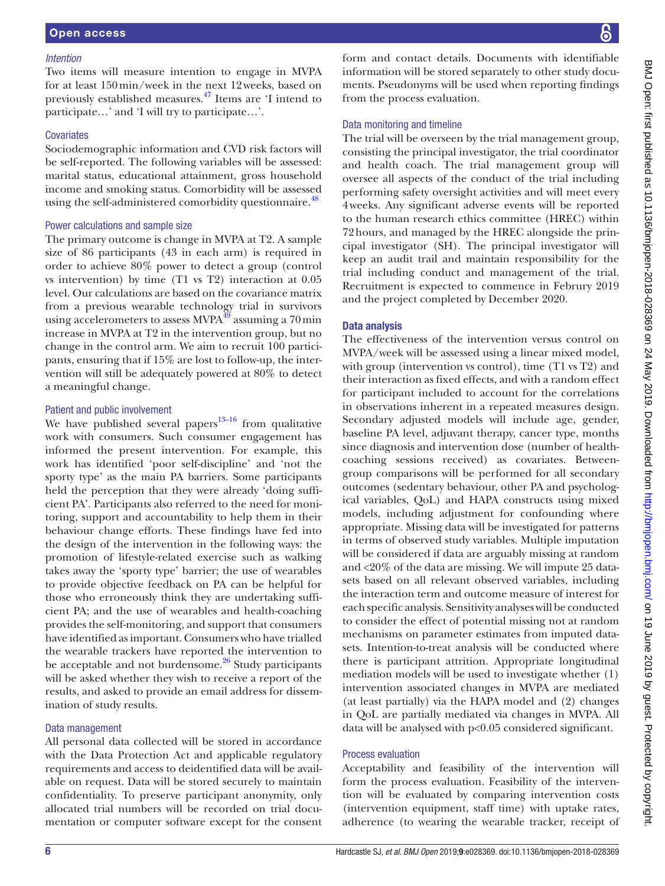#### *Intention*

Two items will measure intention to engage in MVPA for at least 150min/week in the next 12weeks, based on previously established measures[.47](#page-10-21) Items are 'I intend to participate…' and 'I will try to participate…'.

#### **Covariates**

Sociodemographic information and CVD risk factors will be self-reported. The following variables will be assessed: marital status, educational attainment, gross household income and smoking status. Comorbidity will be assessed using the self-administered comorbidity questionnaire.<sup>48</sup>

#### Power calculations and sample size

The primary outcome is change in MVPA at T2. A sample size of 86 participants (43 in each arm) is required in order to achieve 80% power to detect a group (control vs intervention) by time (T1 vs T2) interaction at 0.05 level. Our calculations are based on the covariance matrix from a previous wearable technology trial in survivors using accelerometers to assess  $MVPA<sup>49</sup>$  assuming a 70 min increase in MVPA at T2 in the intervention group, but no change in the control arm. We aim to recruit 100 participants, ensuring that if 15% are lost to follow-up, the intervention will still be adequately powered at 80% to detect a meaningful change.

# Patient and public involvement

We have published several papers<sup>13–16</sup> from qualitative work with consumers. Such consumer engagement has informed the present intervention. For example, this work has identified 'poor self-discipline' and 'not the sporty type' as the main PA barriers. Some participants held the perception that they were already 'doing sufficient PA'. Participants also referred to the need for monitoring, support and accountability to help them in their behaviour change efforts. These findings have fed into the design of the intervention in the following ways: the promotion of lifestyle-related exercise such as walking takes away the 'sporty type' barrier; the use of wearables to provide objective feedback on PA can be helpful for those who erroneously think they are undertaking sufficient PA; and the use of wearables and health-coaching provides the self-monitoring, and support that consumers have identified as important. Consumers who have trialled the wearable trackers have reported the intervention to be acceptable and not burdensome.<sup>26</sup> Study participants will be asked whether they wish to receive a report of the results, and asked to provide an email address for dissemination of study results.

# Data management

All personal data collected will be stored in accordance with the Data Protection Act and applicable regulatory requirements and access to deidentified data will be available on request. Data will be stored securely to maintain confidentiality. To preserve participant anonymity, only allocated trial numbers will be recorded on trial documentation or computer software except for the consent

form and contact details. Documents with identifiable information will be stored separately to other study documents. Pseudonyms will be used when reporting findings from the process evaluation.

# Data monitoring and timeline

The trial will be overseen by the trial management group, consisting the principal investigator, the trial coordinator and health coach. The trial management group will oversee all aspects of the conduct of the trial including performing safety oversight activities and will meet every 4weeks. Any significant adverse events will be reported to the human research ethics committee (HREC) within 72hours, and managed by the HREC alongside the principal investigator (SH). The principal investigator will keep an audit trail and maintain responsibility for the trial including conduct and management of the trial. Recruitment is expected to commence in Februry 2019 and the project completed by December 2020.

# Data analysis

The effectiveness of the intervention versus control on MVPA/week will be assessed using a linear mixed model, with group (intervention vs control), time (T1 vs T2) and their interaction as fixed effects, and with a random effect for participant included to account for the correlations in observations inherent in a repeated measures design. Secondary adjusted models will include age, gender, baseline PA level, adjuvant therapy, cancer type, months since diagnosis and intervention dose (number of healthcoaching sessions received) as covariates. Betweengroup comparisons will be performed for all secondary outcomes (sedentary behaviour, other PA and psychological variables, QoL) and HAPA constructs using mixed models, including adjustment for confounding where appropriate. Missing data will be investigated for patterns in terms of observed study variables. Multiple imputation will be considered if data are arguably missing at random and <20% of the data are missing. We will impute 25 datasets based on all relevant observed variables, including the interaction term and outcome measure of interest for each specific analysis. Sensitivity analyses will be conducted to consider the effect of potential missing not at random mechanisms on parameter estimates from imputed datasets. Intention-to-treat analysis will be conducted where there is participant attrition. Appropriate longitudinal mediation models will be used to investigate whether (1) intervention associated changes in MVPA are mediated (at least partially) via the HAPA model and (2) changes in QoL are partially mediated via changes in MVPA. All data will be analysed with p<0.05 considered significant.

# Process evaluation

Acceptability and feasibility of the intervention will form the process evaluation. Feasibility of the intervention will be evaluated by comparing intervention costs (intervention equipment, staff time) with uptake rates, adherence (to wearing the wearable tracker, receipt of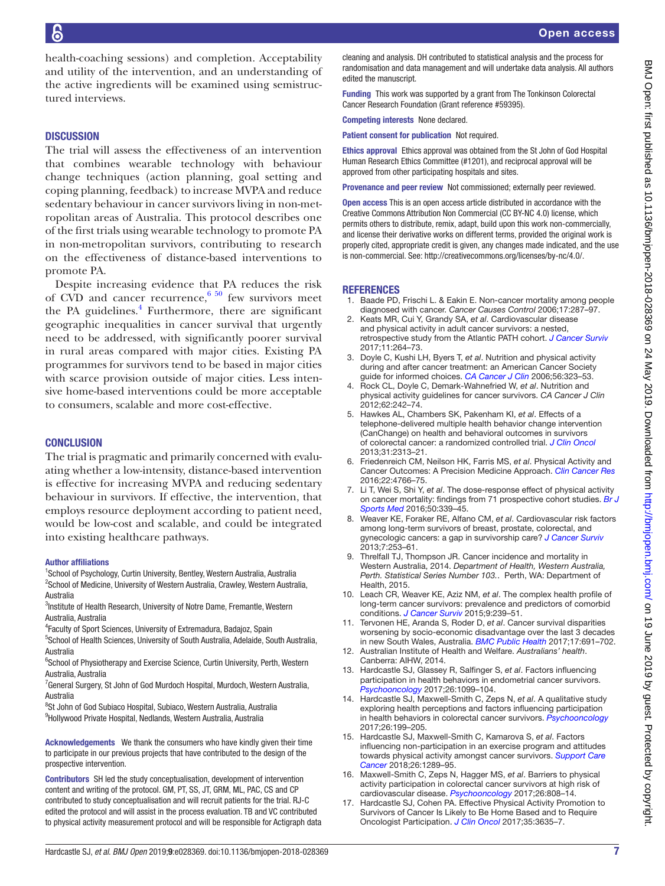health-coaching sessions) and completion. Acceptability and utility of the intervention, and an understanding of the active ingredients will be examined using semistructured interviews.

#### **DISCUSSION**

The trial will assess the effectiveness of an intervention that combines wearable technology with behaviour change techniques (action planning, goal setting and coping planning, feedback) to increase MVPA and reduce sedentary behaviour in cancer survivors living in non-metropolitan areas of Australia. This protocol describes one of the first trials using wearable technology to promote PA in non-metropolitan survivors, contributing to research on the effectiveness of distance-based interventions to promote PA.

Despite increasing evidence that PA reduces the risk of CVD and cancer recurrence,  $6\frac{50}{2}$  few survivors meet the PA guidelines.<sup>[4](#page-9-2)</sup> Furthermore, there are significant geographic inequalities in cancer survival that urgently need to be addressed, with significantly poorer survival in rural areas compared with major cities. Existing PA programmes for survivors tend to be based in major cities with scarce provision outside of major cities. Less intensive home-based interventions could be more acceptable to consumers, scalable and more cost-effective.

#### **CONCLUSION**

The trial is pragmatic and primarily concerned with evaluating whether a low-intensity, distance-based intervention is effective for increasing MVPA and reducing sedentary behaviour in survivors. If effective, the intervention, that employs resource deployment according to patient need, would be low-cost and scalable, and could be integrated into existing healthcare pathways.

#### Author affiliations

<sup>1</sup>School of Psychology, Curtin University, Bentley, Western Australia, Australia <sup>2</sup>School of Medicine, University of Western Australia, Crawley, Western Australia, Australia

<sup>3</sup>Institute of Health Research, University of Notre Dame, Fremantle, Western Australia, Australia

4 Faculty of Sport Sciences, University of Extremadura, Badajoz, Spain

<sup>5</sup>School of Health Sciences, University of South Australia, Adelaide, South Australia, Australia

<sup>6</sup>School of Physiotherapy and Exercise Science, Curtin University, Perth, Western Australia, Australia

<sup>7</sup> General Surgery, St John of God Murdoch Hospital, Murdoch, Western Australia, Australia

<sup>8</sup>St John of God Subiaco Hospital, Subiaco, Western Australia, Australia 9 Hollywood Private Hospital, Nedlands, Western Australia, Australia

Acknowledgements We thank the consumers who have kindly given their time to participate in our previous projects that have contributed to the design of the prospective intervention.

Contributors SH led the study conceptualisation, development of intervention content and writing of the protocol. GM, PT, SS, JT, GRM, ML, PAC, CS and CP contributed to study conceptualisation and will recruit patients for the trial. RJ-C edited the protocol and will assist in the process evaluation. TB and VC contributed to physical activity measurement protocol and will be responsible for Actigraph data cleaning and analysis. DH contributed to statistical analysis and the process for randomisation and data management and will undertake data analysis. All authors edited the manuscript.

Funding This work was supported by a grant from The Tonkinson Colorectal Cancer Research Foundation (Grant reference #59395).

Competing interests None declared.

Patient consent for publication Not required.

Ethics approval Ethics approval was obtained from the St John of God Hospital Human Research Ethics Committee (#1201), and reciprocal approval will be approved from other participating hospitals and sites.

Provenance and peer review Not commissioned; externally peer reviewed.

Open access This is an open access article distributed in accordance with the Creative Commons Attribution Non Commercial (CC BY-NC 4.0) license, which permits others to distribute, remix, adapt, build upon this work non-commercially, and license their derivative works on different terms, provided the original work is properly cited, appropriate credit is given, any changes made indicated, and the use is non-commercial. See: [http://creativecommons.org/licenses/by-nc/4.0/.](http://creativecommons.org/licenses/by-nc/4.0/)

# **REFERENCES**

- <span id="page-9-0"></span>1. Baade PD, Frischi L. & Eakin E. Non-cancer mortality among people diagnosed with cancer. *Cancer Causes Control* 2006;17:287–97.
- <span id="page-9-4"></span>2. Keats MR, Cui Y, Grandy SA, *et al*. Cardiovascular disease and physical activity in adult cancer survivors: a nested, retrospective study from the Atlantic PATH cohort. *[J Cancer Surviv](http://dx.doi.org/10.1007/s11764-016-0584-x)* 2017;11:264–73.
- <span id="page-9-1"></span>3. Doyle C, Kushi LH, Byers T, *et al*. Nutrition and physical activity during and after cancer treatment: an American Cancer Society guide for informed choices. *[CA Cancer J Clin](http://dx.doi.org/10.3322/canjclin.56.6.323)* 2006;56:323–53.
- <span id="page-9-2"></span>4. Rock CL, Doyle C, Demark-Wahnefried W, *et al*. Nutrition and physical activity guidelines for cancer survivors. *CA Cancer J Clin* 2012;62:242–74.
- <span id="page-9-3"></span>5. Hawkes AL, Chambers SK, Pakenham KI, *et al*. Effects of a telephone-delivered multiple health behavior change intervention (CanChange) on health and behavioral outcomes in survivors of colorectal cancer: a randomized controlled trial. *[J Clin Oncol](http://dx.doi.org/10.1200/JCO.2012.45.5873)* 2013;31:2313–21.
- <span id="page-9-5"></span>6. Friedenreich CM, Neilson HK, Farris MS, *et al*. Physical Activity and Cancer Outcomes: A Precision Medicine Approach. *[Clin Cancer Res](http://dx.doi.org/10.1158/1078-0432.CCR-16-0067)* 2016;22:4766–75.
- <span id="page-9-12"></span>7. Li T, Wei S, Shi Y, *et al*. The dose-response effect of physical activity on cancer mortality: findings from 71 prospective cohort studies. *[Br J](http://dx.doi.org/10.1136/bjsports-2015-094927)  [Sports Med](http://dx.doi.org/10.1136/bjsports-2015-094927)* 2016;50:339–45.
- <span id="page-9-6"></span>8. Weaver KE, Foraker RE, Alfano CM, *et al*. Cardiovascular risk factors among long-term survivors of breast, prostate, colorectal, and gynecologic cancers: a gap in survivorship care? *[J Cancer Surviv](http://dx.doi.org/10.1007/s11764-013-0267-9)* 2013;7:253–61.
- <span id="page-9-7"></span>9. Threlfall TJ, Thompson JR. Cancer incidence and mortality in Western Australia, 2014. *Department of Health, Western Australia, Perth. Statistical Series Number 103.*. Perth, WA: Department of Health, 2015.
- <span id="page-9-8"></span>10. Leach CR, Weaver KE, Aziz NM, *et al*. The complex health profile of long-term cancer survivors: prevalence and predictors of comorbid conditions. *[J Cancer Surviv](http://dx.doi.org/10.1007/s11764-014-0403-1)* 2015;9:239–51.
- 11. Tervonen HE, Aranda S, Roder D, *et al*. Cancer survival disparities worsening by socio-economic disadvantage over the last 3 decades in new South Wales, Australia. *[BMC Public Health](http://dx.doi.org/10.1186/s12889-017-4692-y)* 2017;17:691–702.
- <span id="page-9-9"></span>12. Australian Institute of Health and Welfare. *Australians' health*. Canberra: AIHW, 2014.
- <span id="page-9-10"></span>13. Hardcastle SJ, Glassey R, Salfinger S, *et al*. Factors influencing participation in health behaviors in endometrial cancer survivors. *[Psychooncology](http://dx.doi.org/10.1002/pon.4288)* 2017;26:1099–104.
- <span id="page-9-13"></span>14. Hardcastle SJ, Maxwell-Smith C, Zeps N, *et al*. A qualitative study exploring health perceptions and factors influencing participation in health behaviors in colorectal cancer survivors. *[Psychooncology](http://dx.doi.org/10.1002/pon.4111)* 2017;26:199–205.
- 15. Hardcastle SJ, Maxwell-Smith C, Kamarova S, *et al*. Factors influencing non-participation in an exercise program and attitudes towards physical activity amongst cancer survivors. *[Support Care](http://dx.doi.org/10.1007/s00520-017-3952-9)  [Cancer](http://dx.doi.org/10.1007/s00520-017-3952-9)* 2018;26:1289–95.
- 16. Maxwell-Smith C, Zeps N, Hagger MS, *et al*. Barriers to physical activity participation in colorectal cancer survivors at high risk of cardiovascular disease. *[Psychooncology](http://dx.doi.org/10.1002/pon.4234)* 2017;26:808–14.
- <span id="page-9-11"></span>17. Hardcastle SJ, Cohen PA. Effective Physical Activity Promotion to Survivors of Cancer Is Likely to Be Home Based and to Require Oncologist Participation. *[J Clin Oncol](http://dx.doi.org/10.1200/JCO.2017.74.6032)* 2017;35:3635–7.